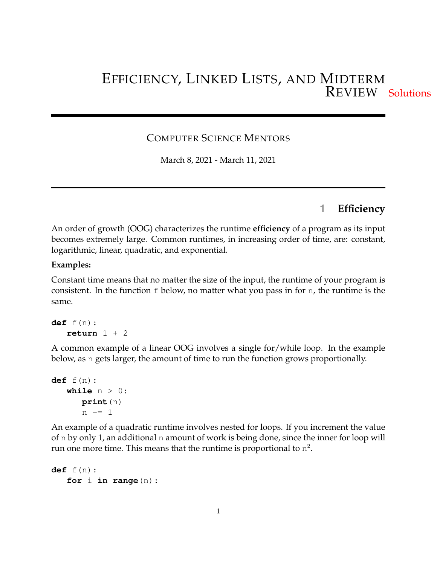# EFFICIENCY, LINKED LISTS, AND MIDTERM REVIEW Solutions

### COMPUTER SCIENCE MENTORS

March 8, 2021 - March 11, 2021

### **1 Efficiency**

An order of growth (OOG) characterizes the runtime **efficiency** of a program as its input becomes extremely large. Common runtimes, in increasing order of time, are: constant, logarithmic, linear, quadratic, and exponential.

#### **Examples:**

Constant time means that no matter the size of the input, the runtime of your program is consistent. In the function f below, no matter what you pass in for n, the runtime is the same.

```
def f(n):
   return 1 + 2
```
A common example of a linear OOG involves a single for/while loop. In the example below, as n gets larger, the amount of time to run the function grows proportionally.

```
def f(n):
   while n > 0:
      print(n)
      n == 1
```
An example of a quadratic runtime involves nested for loops. If you increment the value of n by only 1, an additional n amount of work is being done, since the inner for loop will run one more time. This means that the runtime is proportional to  $n^2$ .

```
def f(n):
   for i in range(n):
```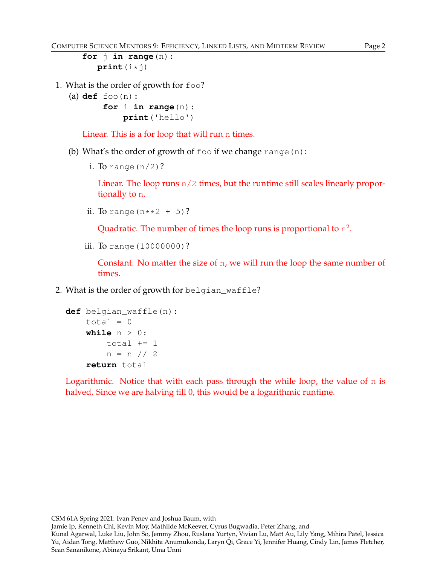```
for j in range(n):
  print(i*j)
```
- 1. What is the order of growth for foo?
	- (a) **def** foo(n):

**for** i **in range**(n): **print**('hello')

Linear. This is a for loop that will run n times.

- (b) What's the order of growth of  $f \circ \circ$  if we change range (n):
	- i. To range  $(n/2)$ ?

Linear. The loop runs n/2 times, but the runtime still scales linearly proportionally to n.

ii. To range  $(n**2 + 5)$ ?

Quadratic. The number of times the loop runs is proportional to  $n^2$ .

iii. To range (10000000)?

Constant. No matter the size of n, we will run the loop the same number of times.

2. What is the order of growth for belgian\_waffle?

```
def belgian_waffle(n):
    total = 0while n > 0:
        total += 1n = n // 2
    return total
```
Logarithmic. Notice that with each pass through the while loop, the value of n is halved. Since we are halving till 0, this would be a logarithmic runtime.

Jamie Ip, Kenneth Chi, Kevin Moy, Mathilde McKeever, Cyrus Bugwadia, Peter Zhang, and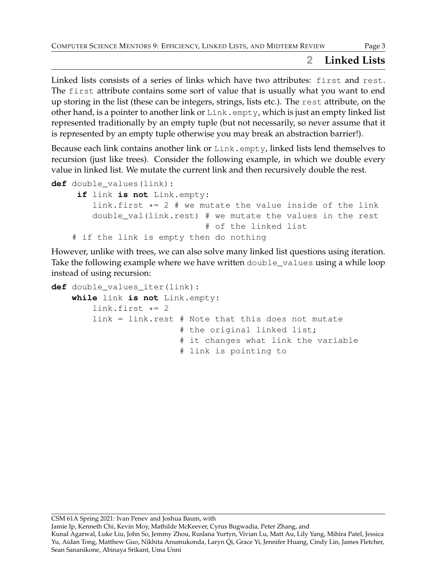# **2 Linked Lists**

Linked lists consists of a series of links which have two attributes: first and rest. The first attribute contains some sort of value that is usually what you want to end up storing in the list (these can be integers, strings, lists etc.). The rest attribute, on the other hand, is a pointer to another link or  $\text{Link}$ . empty, which is just an empty linked list represented traditionally by an empty tuple (but not necessarily, so never assume that it is represented by an empty tuple otherwise you may break an abstraction barrier!).

Because each link contains another link or  $Link$ .  $empty$ , linked lists lend themselves to recursion (just like trees). Consider the following example, in which we double every value in linked list. We mutate the current link and then recursively double the rest.

```
def double_values(link):
     if link is not Link.empty:
        link.first * = 2 # we mutate the value inside of the link
        double_val(link.rest) # we mutate the values in the rest
                              # of the linked list
    # if the link is empty then do nothing
```
However, unlike with trees, we can also solve many linked list questions using iteration. Take the following example where we have written double\_values using a while loop instead of using recursion:

```
def double values iter(link):
    while link is not Link.empty:
        link.first *= 2link = link.rest # Note that this does not mutate
                         # the original linked list;
                         # it changes what link the variable
                         # link is pointing to
```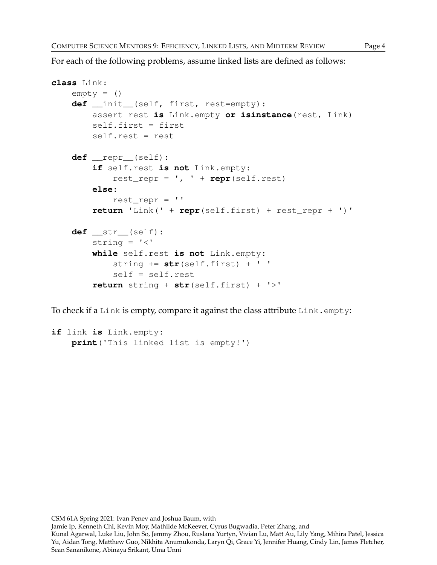For each of the following problems, assume linked lists are defined as follows:

```
class Link:
    empty = ()def __init__(self, first, rest=empty):
        assert rest is Link.empty or isinstance(rest, Link)
        self.first = first
        self.rest = rest
    def __repr__(self):
        if self.rest is not Link.empty:
            rest_repr = ', ' + repr(self.rest)
        else:
            rest_repr = ''
        return 'Link(' + repr(self.first) + rest_repr + ')'
    def __str__(self):
        string = ' <'
        while self.rest is not Link.empty:
            string += str(self.first) + ' '
            self = self.rest
        return string + str(self.first) + '>'
```
To check if a Link is empty, compare it against the class attribute  $Link$ . empty:

```
if link is Link.empty:
   print('This linked list is empty!')
```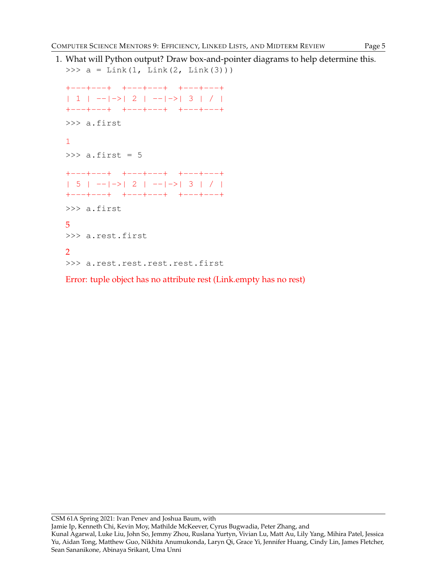1. What will Python output? Draw box-and-pointer diagrams to help determine this. >>>  $a = Link(1, Link(2, Link(3)))$ +---+---+ +---+---+ +---+---+  $| 1 |$  -- $|$ -> $| 2 |$  -- $|$ -> $| 3 | / |$ 

```
+---+---+ +---+---+ +---+---+
>>> a.first
1
\gg a.first = 5
+---+---+ +---+---+ +---+---+
| 5 | --|->| 2 | --|->| 3 | / |
+---+---+ +---+---+ +---+---+
>>> a.first
5
>>> a.rest.first
\mathcal{P}>>> a.rest.rest.rest.rest.first
```
Error: tuple object has no attribute rest (Link.empty has no rest)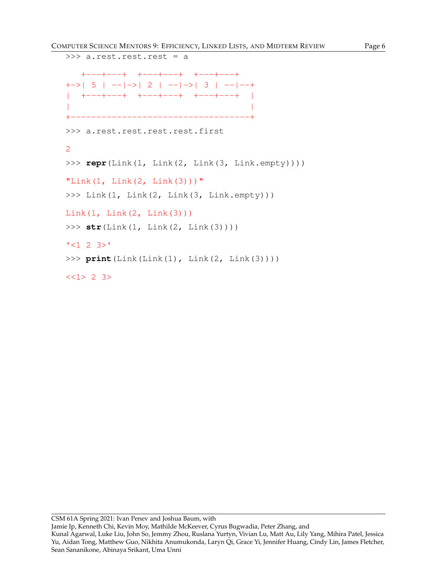```
>>> a.rest.rest.rest = a
  +---+---+ +---+---+ +---+---+
+->| 5 | --|->| 2 | --|->| 3 | --|--+
| +---+---+ +---+---+ +---+---+ |
| |
+-----------------------------------+
>>> a.rest.rest.rest.rest.first
2
>>> repr(Link(1, Link(2, Link(3, Link.empty))))
"Link(1, \text{Link}(2, \text{Link}(3)))"
>>> Link(1, Link(2, Link(3, Link.empty)))
Link(1, Link(2, Link(3)))
>>> str(Link(1, Link(2, Link(3))))
'<1 2 3>'
>>> print(Link(Link(1), Link(2, Link(3))))
<<1> 2 3>
```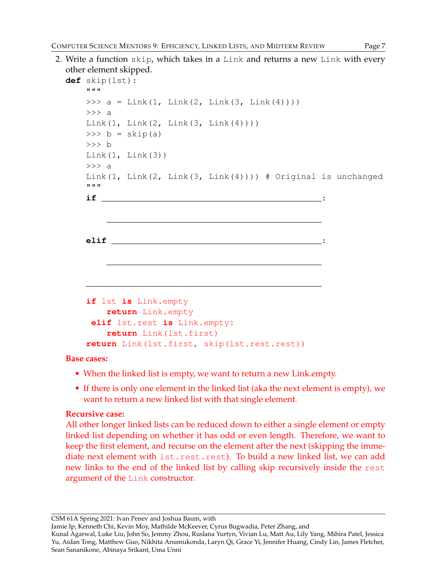2. Write a function skip, which takes in a Link and returns a new Link with every other element skipped.

```
def skip(lst):
      """
      >>> a = Link(1, Link(2, Link(3, Link(4))))
      \gg a
      Link(1, Link(2, Link(3, Link(4))))\Rightarrow b = skip(a)
      >>> b
      Link(1, Link(3))>> a
      Link(1, Link(2, Link(3, Link(4)))) \# Original is unchanged
      """
      if ___________________________________________:
             \frac{1}{2} , and the set of the set of the set of the set of the set of the set of the set of the set of the set of the set of the set of the set of the set of the set of the set of the set of the set of the set of the set
      elif _________________________________________:
             \overline{\phantom{a}} , and the contract of the contract of the contract of the contract of the contract of the contract of the contract of the contract of the contract of the contract of the contract of the contract of the contrac
       ______________________________________________
      if lst is Link.empty
             return Link.empty
        elif lst.rest is Link.empty:
             return Link(lst.first)
      return Link(lst.first, skip(lst.rest.rest))
```
#### **Base cases:**

- When the linked list is empty, we want to return a new Link.empty.
- If there is only one element in the linked list (aka the next element is empty), we want to return a new linked list with that single element.

### **Recursive case:**

All other longer linked lists can be reduced down to either a single element or empty linked list depending on whether it has odd or even length. Therefore, we want to keep the first element, and recurse on the element after the next (skipping the immediate next element with lst.rest.rest). To build a new linked list, we can add new links to the end of the linked list by calling skip recursively inside the rest argument of the Link constructor.

CSM 61A Spring 2021: Ivan Penev and Joshua Baum, with

Jamie Ip, Kenneth Chi, Kevin Moy, Mathilde McKeever, Cyrus Bugwadia, Peter Zhang, and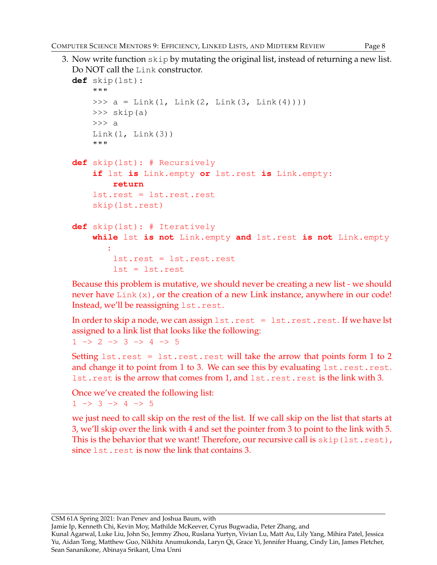```
3. Now write function skip by mutating the original list, instead of returning a new list.
  Do NOT call the Link constructor.
  def skip(lst):
      """
      >>> a = Link(1, Link(2, Link(3, Link(4))))
      \gg skip(a)
      >>> a
      Link(1, Link(3))
      """
  def skip(lst): # Recursively
      if lst is Link.empty or lst.rest is Link.empty:
           return
      lst.rest = lst.rest.rest
      skip(lst.rest)
  def skip(lst): # Iteratively
      while lst is not Link.empty and lst.rest is not Link.empty
         :
           lst.rest = lst.rest.rest
           lst = lst.rest
```
Because this problem is mutative, we should never be creating a new list - we should never have  $\text{Link}(x)$ , or the creation of a new Link instance, anywhere in our code! Instead, we'll be reassigning lst.rest.

In order to skip a node, we can assign  $1st.rest = 1st.rest.rest.$  If we have lst assigned to a link list that looks like the following:  $1 \rightarrow 2 \rightarrow 3 \rightarrow 4 \rightarrow 5$ 

Setting  $1st.rest = 1st.rest.rest$  will take the arrow that points form  $1 to 2$ and change it to point from 1 to 3. We can see this by evaluating  $1st.rest.rest.$ lst.rest is the arrow that comes from 1, and lst.rest.rest is the link with 3.

Once we've created the following list:  $1 \rightarrow 3 \rightarrow 4 \rightarrow 5$ 

we just need to call skip on the rest of the list. If we call skip on the list that starts at 3, we'll skip over the link with 4 and set the pointer from 3 to point to the link with 5. This is the behavior that we want! Therefore, our recursive call is  $skip(1st.rest)$ , since lst.rest is now the link that contains 3.

CSM 61A Spring 2021: Ivan Penev and Joshua Baum, with

Jamie Ip, Kenneth Chi, Kevin Moy, Mathilde McKeever, Cyrus Bugwadia, Peter Zhang, and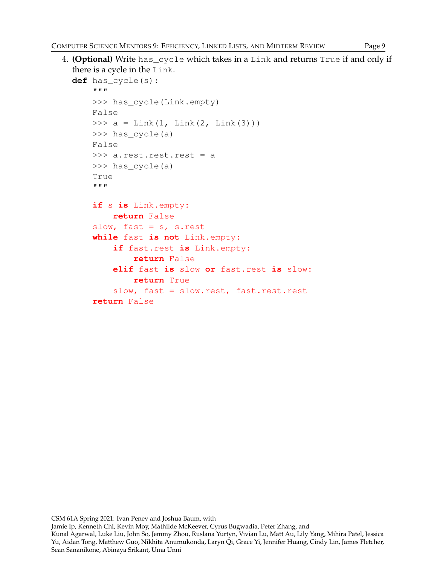4. **(Optional)** Write has\_cycle which takes in a Link and returns True if and only if there is a cycle in the Link.

```
def has_cycle(s):
    "" ""
    >>> has_cycle(Link.empty)
    False
    >>> a = Link(1, Link(2, Link(3)))>>> has_cycle(a)
    False
    >>> a.rest.rest.rest = a
    >>> has_cycle(a)
    True
    """
    if s is Link.empty:
        return False
    slow, fast = s, s.rest
    while fast is not Link.empty:
        if fast.rest is Link.empty:
            return False
        elif fast is slow or fast.rest is slow:
            return True
        slow, fast = slow.rest, fast.rest.rest
    return False
```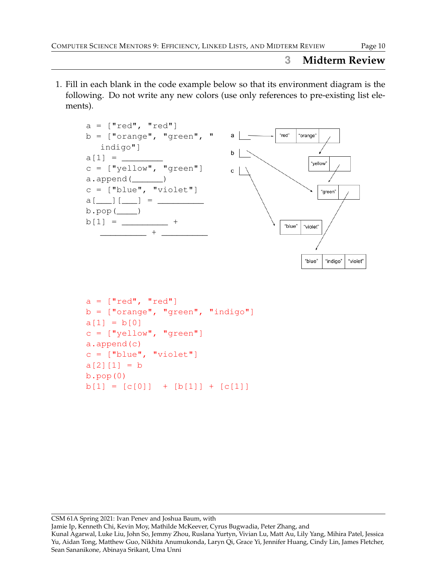# **3 Midterm Review**

1. Fill in each blank in the code example below so that its environment diagram is the following. Do not write any new colors (use only references to pre-existing list elements).



```
a = [\text{"red", \text{ "red"}}]b = [\text{"orange", "green", "indigo"]a[1] = b[0]c = [\n    "yellow", \n    "green"]a.append(c)
c = ["blue", "violet"]a[2][1] = bb.pop(0)b[1] = [c[0]] + [b[1]] + [c[1]]
```
CSM 61A Spring 2021: Ivan Penev and Joshua Baum, with

Jamie Ip, Kenneth Chi, Kevin Moy, Mathilde McKeever, Cyrus Bugwadia, Peter Zhang, and

Kunal Agarwal, Luke Liu, John So, Jemmy Zhou, Ruslana Yurtyn, Vivian Lu, Matt Au, Lily Yang, Mihira Patel, Jessica Yu, Aidan Tong, Matthew Guo, Nikhita Anumukonda, Laryn Qi, Grace Yi, Jennifer Huang, Cindy Lin, James Fletcher, Sean Sananikone, Abinaya Srikant, Uma Unni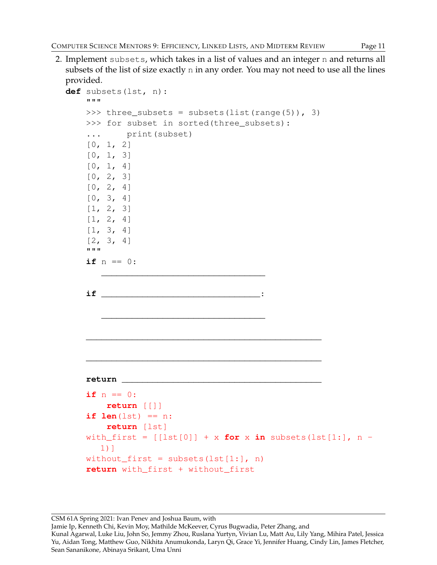2. Implement subsets, which takes in a list of values and an integer n and returns all subsets of the list of size exactly n in any order. You may not need to use all the lines provided.

```
def subsets(lst, n):
    """
    >>> three_subsets = subsets(list(range(5)), 3)
    >>> for subset in sorted(three subsets):
    ... print(subset)
    [0, 1, 2][0, 1, 3][0, 1, 4][0, 2, 3][0, 2, 4][0, 3, 4][1, 2, 3]
    [1, 2, 4][1, 3, 4][2, 3, 4]"""
    if n == 0:
       ________________________________
    if _______________________________:
       ________________________________
    ______________________________________________
    ______________________________________________
    return _______________________________________
    if n == 0:
        return [[]]
    if len(lst) == n:return [lst]
    with_first = [[lst[0]] + x for x in subsets(lst[1:], n -
       1)]
    without_first = subsets(lst[1:], n)
    return with_first + without_first
```
CSM 61A Spring 2021: Ivan Penev and Joshua Baum, with

Jamie Ip, Kenneth Chi, Kevin Moy, Mathilde McKeever, Cyrus Bugwadia, Peter Zhang, and

Kunal Agarwal, Luke Liu, John So, Jemmy Zhou, Ruslana Yurtyn, Vivian Lu, Matt Au, Lily Yang, Mihira Patel, Jessica Yu, Aidan Tong, Matthew Guo, Nikhita Anumukonda, Laryn Qi, Grace Yi, Jennifer Huang, Cindy Lin, James Fletcher, Sean Sananikone, Abinaya Srikant, Uma Unni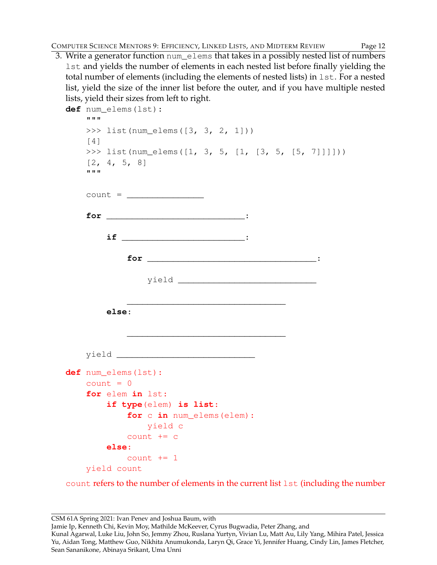3. Write a generator function num\_elems that takes in a possibly nested list of numbers lst and yields the number of elements in each nested list before finally yielding the total number of elements (including the elements of nested lists) in lst. For a nested list, yield the size of the inner list before the outer, and if you have multiple nested lists, yield their sizes from left to right.

```
def num_elems(lst):
    """
    >>> list(num_elems([3, 3, 2, 1]))
    [4]
    >>> list(num_elems([1, 3, 5, [1, [3, 5, [5, 7]]]]))
    [2, 4, 5, 8]"""
    count = \_for ___________________________:
        if ________________________:
            for _________________________________:
                yield ___________________________
            _______________________________
        else:
            _______________________________
    yield ___________________________
def num_elems(lst):
    count = 0for elem in lst:
        if type(elem) is list:
            for c in num_elems(elem):
                yield c
            count += c
        else:
            count += 1yield count
```
count refers to the number of elements in the current list lst (including the number

CSM 61A Spring 2021: Ivan Penev and Joshua Baum, with

Jamie Ip, Kenneth Chi, Kevin Moy, Mathilde McKeever, Cyrus Bugwadia, Peter Zhang, and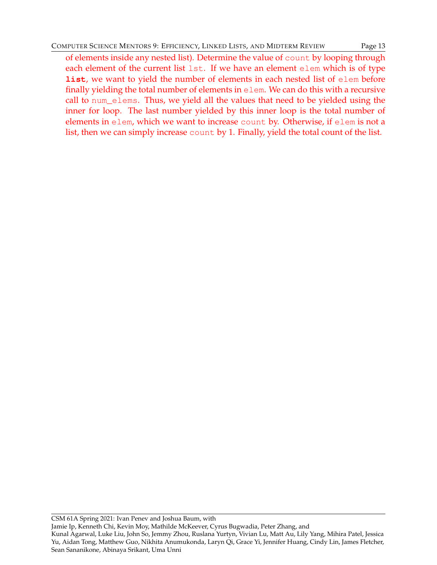of elements inside any nested list). Determine the value of count by looping through each element of the current list lst. If we have an element elem which is of type **list**, we want to yield the number of elements in each nested list of elem before finally yielding the total number of elements in elem. We can do this with a recursive call to num\_elems. Thus, we yield all the values that need to be yielded using the inner for loop. The last number yielded by this inner loop is the total number of elements in elem, which we want to increase count by. Otherwise, if elem is not a list, then we can simply increase count by 1. Finally, yield the total count of the list.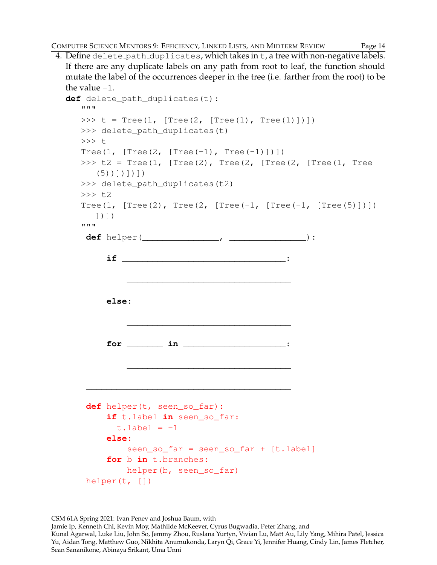4. Define delete path duplicates, which takes in t, a tree with non-negative labels. If there are any duplicate labels on any path from root to leaf, the function should mutate the label of the occurrences deeper in the tree (i.e. farther from the root) to be the value  $-1$ .

```
def delete_path_duplicates(t):
   """
  >>> t = Tree(1, [Tree(2, [Tree(1), [Tree(1)]>>> delete_path_duplicates(t)
   >>> t
   Tree(1, [Tree(2, [Tree(-1), Tree(-1)])])
   >>> t2 = Tree(1, [Tree(2), Tree(2, [Tree(2, [Tree(1, Tree)]])(5))])])])
   >>> delete_path_duplicates(t2)
   >> 72Tree(1, [Tree(2), Tree(2, [Tree(-1, [Tree(-1, [Tree(5)])])]])])
   """
    def helper(_______________, _______________):
        if ________________________________:
            ________________________________
        else:
            ________________________________
        for _______ in ____________________:
            ________________________________
    ________________________________________
    def helper(t, seen_so_far):
        if t.label in seen_so_far:
          t.label = -1else:
            seen_so_far = seen_so_far + [t.label]
        for b in t.branches:
            helper(b, seen_so_far)
    helper(t, [])
```
Jamie Ip, Kenneth Chi, Kevin Moy, Mathilde McKeever, Cyrus Bugwadia, Peter Zhang, and